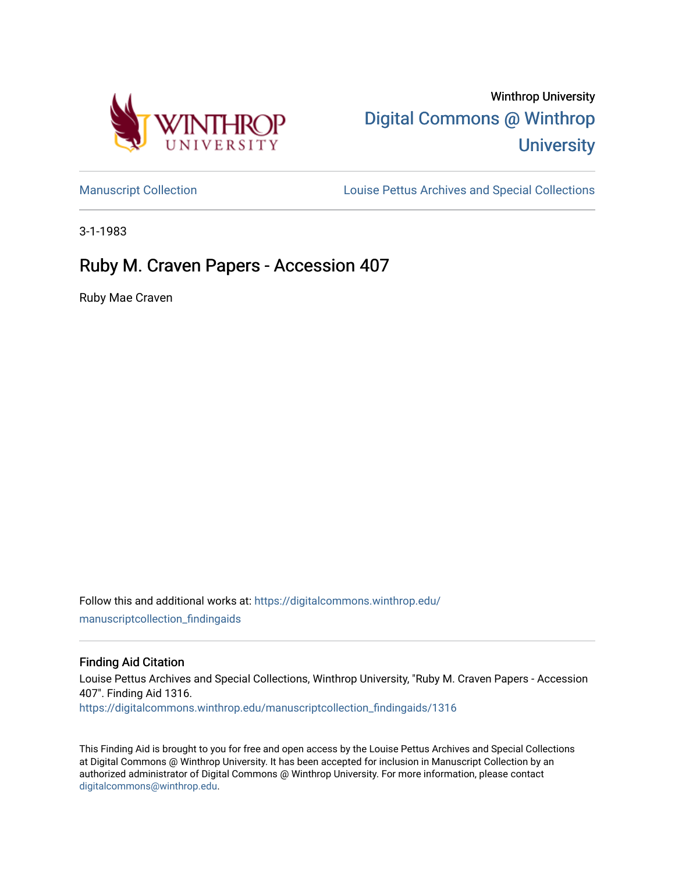

# Winthrop University [Digital Commons @ Winthrop](https://digitalcommons.winthrop.edu/)  **University**

[Manuscript Collection](https://digitalcommons.winthrop.edu/manuscriptcollection_findingaids) **Louise Pettus Archives and Special Collections** 

3-1-1983

## Ruby M. Craven Papers - Accession 407

Ruby Mae Craven

Follow this and additional works at: [https://digitalcommons.winthrop.edu/](https://digitalcommons.winthrop.edu/manuscriptcollection_findingaids?utm_source=digitalcommons.winthrop.edu%2Fmanuscriptcollection_findingaids%2F1316&utm_medium=PDF&utm_campaign=PDFCoverPages) [manuscriptcollection\\_findingaids](https://digitalcommons.winthrop.edu/manuscriptcollection_findingaids?utm_source=digitalcommons.winthrop.edu%2Fmanuscriptcollection_findingaids%2F1316&utm_medium=PDF&utm_campaign=PDFCoverPages) 

#### Finding Aid Citation

Louise Pettus Archives and Special Collections, Winthrop University, "Ruby M. Craven Papers - Accession 407". Finding Aid 1316.

[https://digitalcommons.winthrop.edu/manuscriptcollection\\_findingaids/1316](https://digitalcommons.winthrop.edu/manuscriptcollection_findingaids/1316?utm_source=digitalcommons.winthrop.edu%2Fmanuscriptcollection_findingaids%2F1316&utm_medium=PDF&utm_campaign=PDFCoverPages) 

This Finding Aid is brought to you for free and open access by the Louise Pettus Archives and Special Collections at Digital Commons @ Winthrop University. It has been accepted for inclusion in Manuscript Collection by an authorized administrator of Digital Commons @ Winthrop University. For more information, please contact [digitalcommons@winthrop.edu](mailto:digitalcommons@winthrop.edu).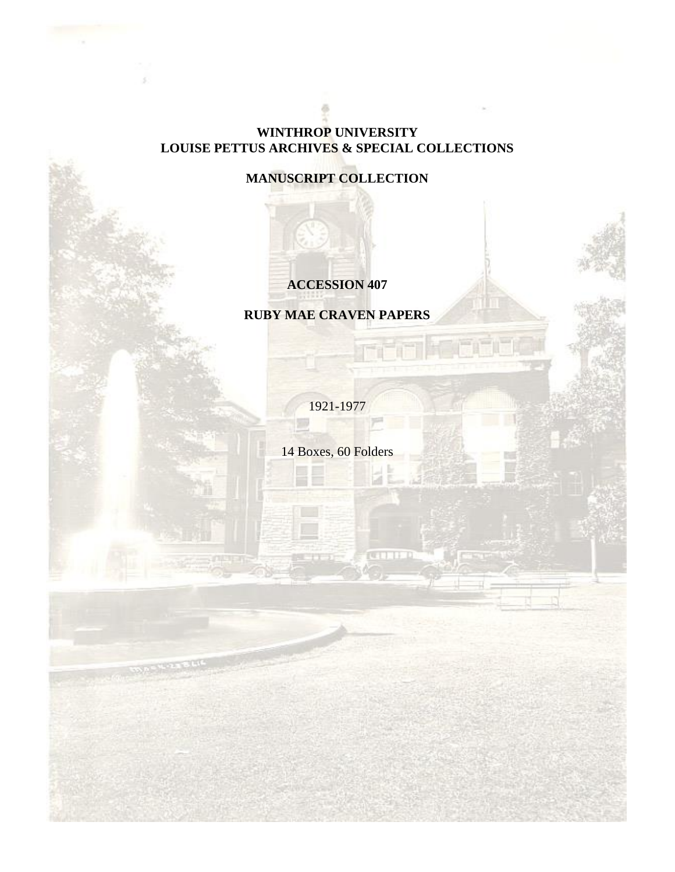#### **WINTHROP UNIVERSITY LOUISE PETTUS ARCHIVES & SPECIAL COLLECTIONS**

### **MANUSCRIPT COLLECTION**

### **ACCESSION 407**

**RUBY MAE CRAVEN PAPERS**

1921-1977

14 Boxes, 60 Folders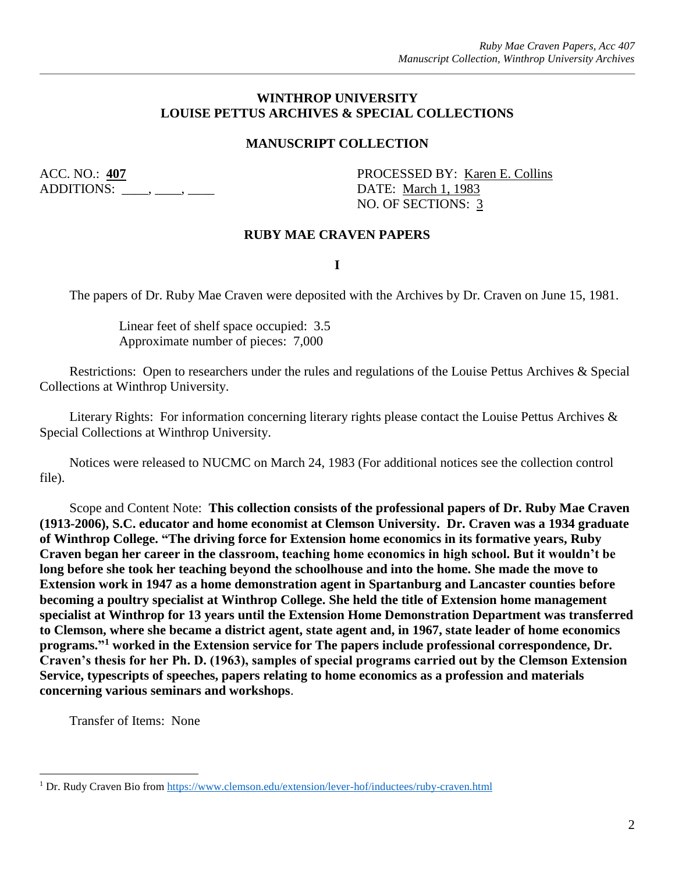#### **WINTHROP UNIVERSITY LOUISE PETTUS ARCHIVES & SPECIAL COLLECTIONS**

#### **MANUSCRIPT COLLECTION**

ADDITIONS: \_\_\_\_, \_\_\_\_, \_\_\_\_ DATE: March 1, 1983

ACC. NO.: 407 PROCESSED BY: Karen E. Collins NO. OF SECTIONS: 3

#### **RUBY MAE CRAVEN PAPERS**

**I**

The papers of Dr. Ruby Mae Craven were deposited with the Archives by Dr. Craven on June 15, 1981.

Linear feet of shelf space occupied: 3.5 Approximate number of pieces: 7,000

Restrictions: Open to researchers under the rules and regulations of the Louise Pettus Archives & Special Collections at Winthrop University.

Literary Rights: For information concerning literary rights please contact the Louise Pettus Archives & Special Collections at Winthrop University.

Notices were released to NUCMC on March 24, 1983 (For additional notices see the collection control file).

Scope and Content Note: **This collection consists of the professional papers of Dr. Ruby Mae Craven (1913-2006), S.C. educator and home economist at Clemson University. Dr. Craven was a 1934 graduate of Winthrop College. "The driving force for Extension home economics in its formative years, Ruby Craven began her career in the classroom, teaching home economics in high school. But it wouldn't be long before she took her teaching beyond the schoolhouse and into the home. She made the move to Extension work in 1947 as a home demonstration agent in Spartanburg and Lancaster counties before becoming a poultry specialist at Winthrop College. She held the title of Extension home management specialist at Winthrop for 13 years until the Extension Home Demonstration Department was transferred to Clemson, where she became a district agent, state agent and, in 1967, state leader of home economics programs." <sup>1</sup> worked in the Extension service for The papers include professional correspondence, Dr. Craven's thesis for her Ph. D. (1963), samples of special programs carried out by the Clemson Extension Service, typescripts of speeches, papers relating to home economics as a profession and materials concerning various seminars and workshops**.

Transfer of Items: None

 $\overline{a}$ 

<sup>1</sup> Dr. Rudy Craven Bio fro[m https://www.clemson.edu/extension/lever-hof/inductees/ruby-craven.html](https://www.clemson.edu/extension/lever-hof/inductees/ruby-craven.html)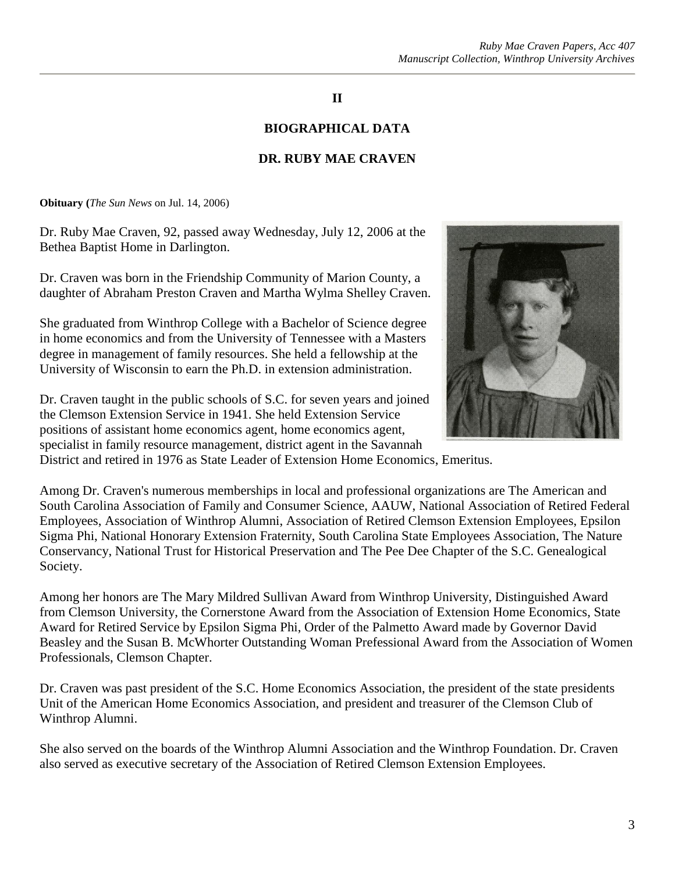#### **II**

#### **BIOGRAPHICAL DATA**

#### **DR. RUBY MAE CRAVEN**

**Obituary (***The Sun News* on Jul. 14, 2006)

Dr. Ruby Mae Craven, 92, passed away Wednesday, July 12, 2006 at the Bethea Baptist Home in Darlington.

Dr. Craven was born in the Friendship Community of Marion County, a daughter of Abraham Preston Craven and Martha Wylma Shelley Craven.

She graduated from Winthrop College with a Bachelor of Science degree in home economics and from the University of Tennessee with a Masters degree in management of family resources. She held a fellowship at the University of Wisconsin to earn the Ph.D. in extension administration.



Dr. Craven taught in the public schools of S.C. for seven years and joined the Clemson Extension Service in 1941. She held Extension Service positions of assistant home economics agent, home economics agent, specialist in family resource management, district agent in the Savannah District and retired in 1976 as State Leader of Extension Home Economics, Emeritus.

Among Dr. Craven's numerous memberships in local and professional organizations are The American and South Carolina Association of Family and Consumer Science, AAUW, National Association of Retired Federal Employees, Association of Winthrop Alumni, Association of Retired Clemson Extension Employees, Epsilon Sigma Phi, National Honorary Extension Fraternity, South Carolina State Employees Association, The Nature Conservancy, National Trust for Historical Preservation and The Pee Dee Chapter of the S.C. Genealogical Society.

Among her honors are The Mary Mildred Sullivan Award from Winthrop University, Distinguished Award from Clemson University, the Cornerstone Award from the Association of Extension Home Economics, State Award for Retired Service by Epsilon Sigma Phi, Order of the Palmetto Award made by Governor David Beasley and the Susan B. McWhorter Outstanding Woman Prefessional Award from the Association of Women Professionals, Clemson Chapter.

Dr. Craven was past president of the S.C. Home Economics Association, the president of the state presidents Unit of the American Home Economics Association, and president and treasurer of the Clemson Club of Winthrop Alumni.

She also served on the boards of the Winthrop Alumni Association and the Winthrop Foundation. Dr. Craven also served as executive secretary of the Association of Retired Clemson Extension Employees.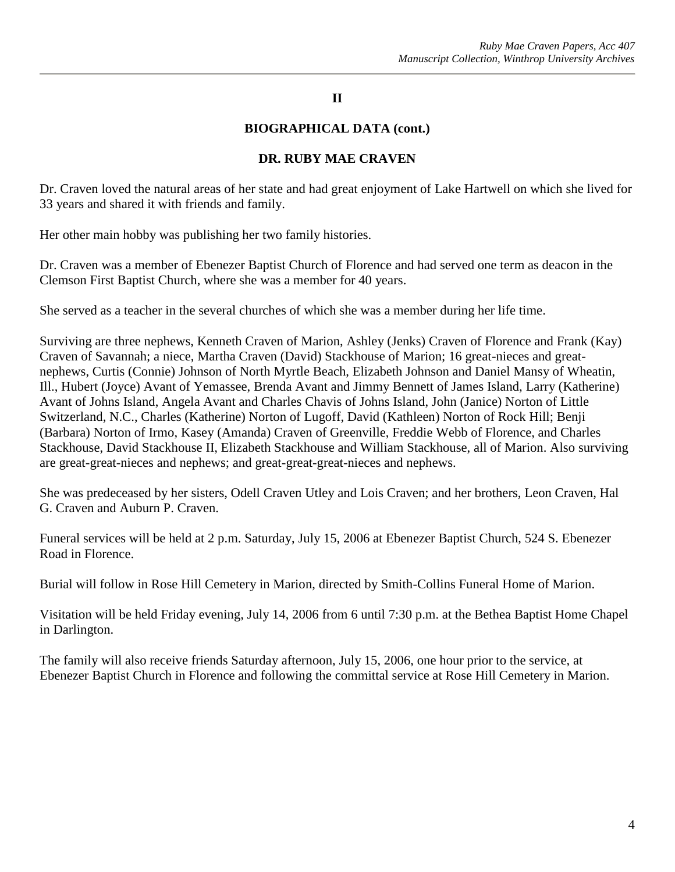#### **II**

#### **BIOGRAPHICAL DATA (cont.)**

#### **DR. RUBY MAE CRAVEN**

Dr. Craven loved the natural areas of her state and had great enjoyment of Lake Hartwell on which she lived for 33 years and shared it with friends and family.

Her other main hobby was publishing her two family histories.

Dr. Craven was a member of Ebenezer Baptist Church of Florence and had served one term as deacon in the Clemson First Baptist Church, where she was a member for 40 years.

She served as a teacher in the several churches of which she was a member during her life time.

Surviving are three nephews, Kenneth Craven of Marion, Ashley (Jenks) Craven of Florence and Frank (Kay) Craven of Savannah; a niece, Martha Craven (David) Stackhouse of Marion; 16 great-nieces and greatnephews, Curtis (Connie) Johnson of North Myrtle Beach, Elizabeth Johnson and Daniel Mansy of Wheatin, Ill., Hubert (Joyce) Avant of Yemassee, Brenda Avant and Jimmy Bennett of James Island, Larry (Katherine) Avant of Johns Island, Angela Avant and Charles Chavis of Johns Island, John (Janice) Norton of Little Switzerland, N.C., Charles (Katherine) Norton of Lugoff, David (Kathleen) Norton of Rock Hill; Benji (Barbara) Norton of Irmo, Kasey (Amanda) Craven of Greenville, Freddie Webb of Florence, and Charles Stackhouse, David Stackhouse II, Elizabeth Stackhouse and William Stackhouse, all of Marion. Also surviving are great-great-nieces and nephews; and great-great-great-nieces and nephews.

She was predeceased by her sisters, Odell Craven Utley and Lois Craven; and her brothers, Leon Craven, Hal G. Craven and Auburn P. Craven.

Funeral services will be held at 2 p.m. Saturday, July 15, 2006 at Ebenezer Baptist Church, 524 S. Ebenezer Road in Florence.

Burial will follow in Rose Hill Cemetery in Marion, directed by Smith-Collins Funeral Home of Marion.

Visitation will be held Friday evening, July 14, 2006 from 6 until 7:30 p.m. at the Bethea Baptist Home Chapel in Darlington.

The family will also receive friends Saturday afternoon, July 15, 2006, one hour prior to the service, at Ebenezer Baptist Church in Florence and following the committal service at Rose Hill Cemetery in Marion.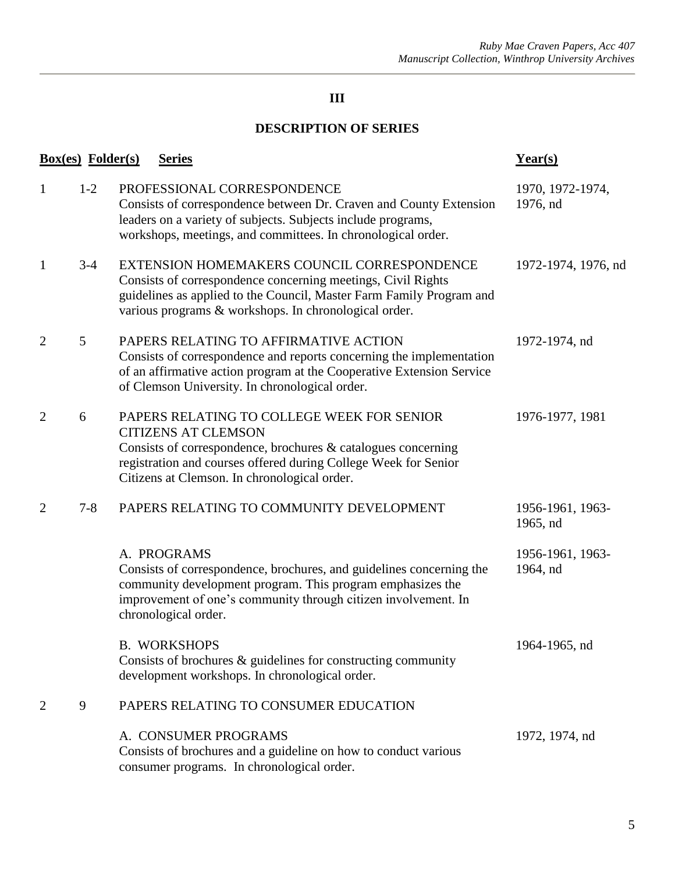### **DESCRIPTION OF SERIES**

| <b>Box(es)</b> Folder(s) |         | <b>Series</b>                                                                                                                                                                                                                                                   | $Year(s)$                    |
|--------------------------|---------|-----------------------------------------------------------------------------------------------------------------------------------------------------------------------------------------------------------------------------------------------------------------|------------------------------|
| $\mathbf{1}$             | $1-2$   | PROFESSIONAL CORRESPONDENCE<br>Consists of correspondence between Dr. Craven and County Extension<br>leaders on a variety of subjects. Subjects include programs,<br>workshops, meetings, and committees. In chronological order.                               | 1970, 1972-1974,<br>1976, nd |
| 1                        | $3-4$   | EXTENSION HOMEMAKERS COUNCIL CORRESPONDENCE<br>Consists of correspondence concerning meetings, Civil Rights<br>guidelines as applied to the Council, Master Farm Family Program and<br>various programs & workshops. In chronological order.                    | 1972-1974, 1976, nd          |
| $\overline{2}$           | 5       | PAPERS RELATING TO AFFIRMATIVE ACTION<br>Consists of correspondence and reports concerning the implementation<br>of an affirmative action program at the Cooperative Extension Service<br>of Clemson University. In chronological order.                        | 1972-1974, nd                |
| $\overline{2}$           | 6       | PAPERS RELATING TO COLLEGE WEEK FOR SENIOR<br><b>CITIZENS AT CLEMSON</b><br>Consists of correspondence, brochures $\&$ catalogues concerning<br>registration and courses offered during College Week for Senior<br>Citizens at Clemson. In chronological order. | 1976-1977, 1981              |
| $\overline{2}$           | $7 - 8$ | PAPERS RELATING TO COMMUNITY DEVELOPMENT                                                                                                                                                                                                                        | 1956-1961, 1963-<br>1965, nd |
|                          |         | A. PROGRAMS<br>Consists of correspondence, brochures, and guidelines concerning the<br>community development program. This program emphasizes the<br>improvement of one's community through citizen involvement. In<br>chronological order.                     | 1956-1961, 1963-<br>1964, nd |
|                          |         | <b>B. WORKSHOPS</b><br>Consists of brochures $\&$ guidelines for constructing community<br>development workshops. In chronological order.                                                                                                                       | 1964-1965, nd                |
| 2                        | 9       | PAPERS RELATING TO CONSUMER EDUCATION                                                                                                                                                                                                                           |                              |
|                          |         | A. CONSUMER PROGRAMS<br>Consists of brochures and a guideline on how to conduct various<br>consumer programs. In chronological order.                                                                                                                           | 1972, 1974, nd               |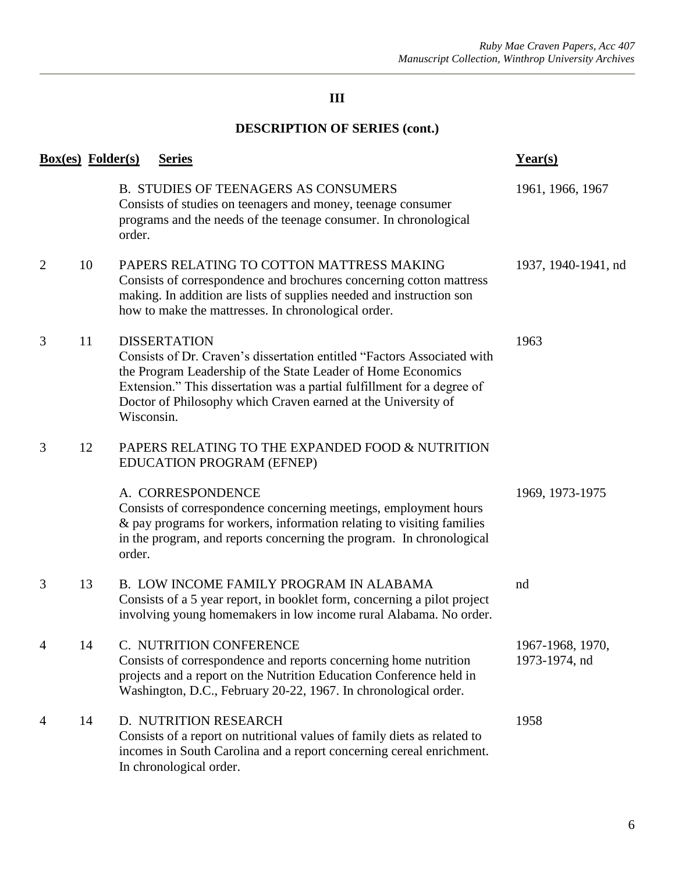| <b>Box(es)</b> Folder(s) |    |            | <b>Series</b>                                                                                                                                                                                                                                                                                              | $Year(s)$                         |
|--------------------------|----|------------|------------------------------------------------------------------------------------------------------------------------------------------------------------------------------------------------------------------------------------------------------------------------------------------------------------|-----------------------------------|
|                          |    | order.     | <b>B. STUDIES OF TEENAGERS AS CONSUMERS</b><br>Consists of studies on teenagers and money, teenage consumer<br>programs and the needs of the teenage consumer. In chronological                                                                                                                            | 1961, 1966, 1967                  |
| $\overline{2}$           | 10 |            | PAPERS RELATING TO COTTON MATTRESS MAKING<br>Consists of correspondence and brochures concerning cotton mattress<br>making. In addition are lists of supplies needed and instruction son<br>how to make the mattresses. In chronological order.                                                            | 1937, 1940-1941, nd               |
| 3                        | 11 | Wisconsin. | <b>DISSERTATION</b><br>Consists of Dr. Craven's dissertation entitled "Factors Associated with<br>the Program Leadership of the State Leader of Home Economics<br>Extension." This dissertation was a partial fulfillment for a degree of<br>Doctor of Philosophy which Craven earned at the University of | 1963                              |
| 3                        | 12 |            | PAPERS RELATING TO THE EXPANDED FOOD & NUTRITION<br>EDUCATION PROGRAM (EFNEP)                                                                                                                                                                                                                              |                                   |
|                          |    | order.     | A. CORRESPONDENCE<br>Consists of correspondence concerning meetings, employment hours<br>& pay programs for workers, information relating to visiting families<br>in the program, and reports concerning the program. In chronological                                                                     | 1969, 1973-1975                   |
| 3                        | 13 |            | B. LOW INCOME FAMILY PROGRAM IN ALABAMA<br>Consists of a 5 year report, in booklet form, concerning a pilot project<br>involving young homemakers in low income rural Alabama. No order.                                                                                                                   | nd                                |
| $\overline{4}$           | 14 |            | C. NUTRITION CONFERENCE<br>Consists of correspondence and reports concerning home nutrition<br>projects and a report on the Nutrition Education Conference held in<br>Washington, D.C., February 20-22, 1967. In chronological order.                                                                      | 1967-1968, 1970,<br>1973-1974, nd |
| 4                        | 14 |            | D. NUTRITION RESEARCH<br>Consists of a report on nutritional values of family diets as related to<br>incomes in South Carolina and a report concerning cereal enrichment.<br>In chronological order.                                                                                                       | 1958                              |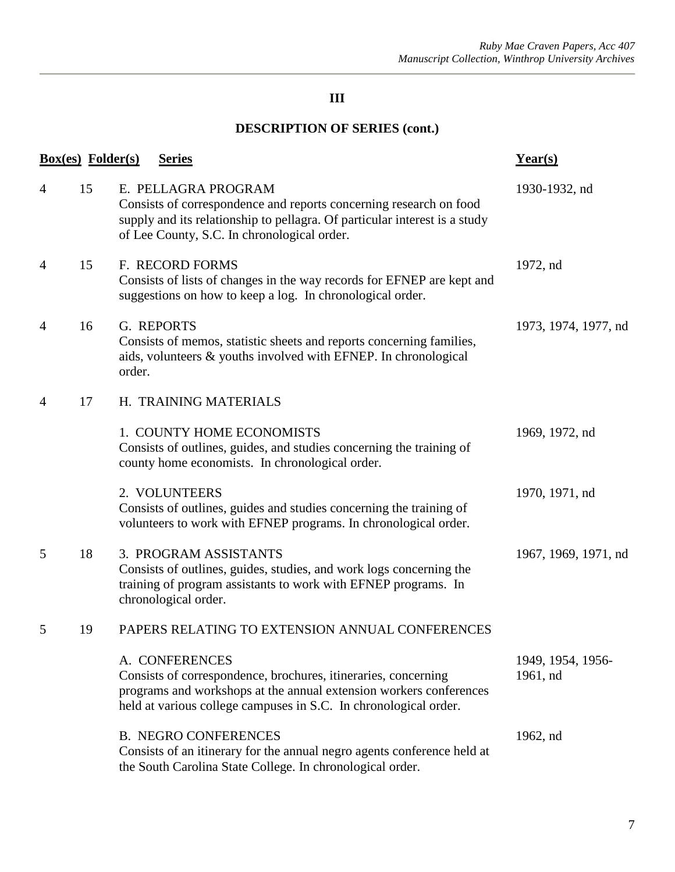| <b>Box(es)</b> Folder(s) |    |        | <b>Series</b>                                                                                                                                                                                                              | Year(s)                       |
|--------------------------|----|--------|----------------------------------------------------------------------------------------------------------------------------------------------------------------------------------------------------------------------------|-------------------------------|
| 4                        | 15 |        | E. PELLAGRA PROGRAM<br>Consists of correspondence and reports concerning research on food<br>supply and its relationship to pellagra. Of particular interest is a study<br>of Lee County, S.C. In chronological order.     | 1930-1932, nd                 |
| 4                        | 15 |        | F. RECORD FORMS<br>Consists of lists of changes in the way records for EFNEP are kept and<br>suggestions on how to keep a log. In chronological order.                                                                     | 1972, nd                      |
| 4                        | 16 | order. | G. REPORTS<br>Consists of memos, statistic sheets and reports concerning families,<br>aids, volunteers & youths involved with EFNEP. In chronological                                                                      | 1973, 1974, 1977, nd          |
| $\overline{4}$           | 17 |        | H. TRAINING MATERIALS                                                                                                                                                                                                      |                               |
|                          |    |        | 1. COUNTY HOME ECONOMISTS<br>Consists of outlines, guides, and studies concerning the training of<br>county home economists. In chronological order.                                                                       | 1969, 1972, nd                |
|                          |    |        | 2. VOLUNTEERS<br>Consists of outlines, guides and studies concerning the training of<br>volunteers to work with EFNEP programs. In chronological order.                                                                    | 1970, 1971, nd                |
| 5                        | 18 |        | 3. PROGRAM ASSISTANTS<br>Consists of outlines, guides, studies, and work logs concerning the<br>training of program assistants to work with EFNEP programs. In<br>chronological order.                                     | 1967, 1969, 1971, nd          |
| 5                        | 19 |        | PAPERS RELATING TO EXTENSION ANNUAL CONFERENCES                                                                                                                                                                            |                               |
|                          |    |        | A. CONFERENCES<br>Consists of correspondence, brochures, itineraries, concerning<br>programs and workshops at the annual extension workers conferences<br>held at various college campuses in S.C. In chronological order. | 1949, 1954, 1956-<br>1961, nd |
|                          |    |        | <b>B. NEGRO CONFERENCES</b><br>Consists of an itinerary for the annual negro agents conference held at<br>the South Carolina State College. In chronological order.                                                        | 1962, nd                      |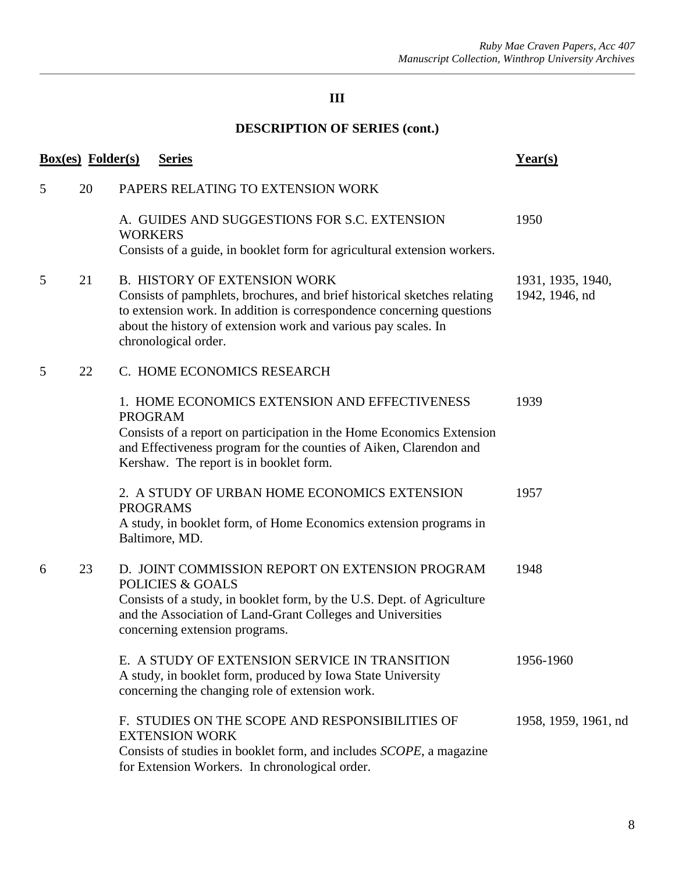| <b>Box(es)</b> Folder(s) |    |                 | <b>Series</b>                                                                                                                                                                                                                                                                      | Year(s)                             |
|--------------------------|----|-----------------|------------------------------------------------------------------------------------------------------------------------------------------------------------------------------------------------------------------------------------------------------------------------------------|-------------------------------------|
| 5                        | 20 |                 | PAPERS RELATING TO EXTENSION WORK                                                                                                                                                                                                                                                  |                                     |
|                          |    | <b>WORKERS</b>  | A. GUIDES AND SUGGESTIONS FOR S.C. EXTENSION<br>Consists of a guide, in booklet form for agricultural extension workers.                                                                                                                                                           | 1950                                |
| 5                        | 21 |                 | <b>B. HISTORY OF EXTENSION WORK</b><br>Consists of pamphlets, brochures, and brief historical sketches relating<br>to extension work. In addition is correspondence concerning questions<br>about the history of extension work and various pay scales. In<br>chronological order. | 1931, 1935, 1940,<br>1942, 1946, nd |
| 5                        | 22 |                 | C. HOME ECONOMICS RESEARCH                                                                                                                                                                                                                                                         |                                     |
|                          |    | <b>PROGRAM</b>  | 1. HOME ECONOMICS EXTENSION AND EFFECTIVENESS<br>Consists of a report on participation in the Home Economics Extension<br>and Effectiveness program for the counties of Aiken, Clarendon and<br>Kershaw. The report is in booklet form.                                            | 1939                                |
|                          |    | <b>PROGRAMS</b> | 2. A STUDY OF URBAN HOME ECONOMICS EXTENSION<br>A study, in booklet form, of Home Economics extension programs in<br>Baltimore, MD.                                                                                                                                                | 1957                                |
| 6                        | 23 |                 | D. JOINT COMMISSION REPORT ON EXTENSION PROGRAM<br><b>POLICIES &amp; GOALS</b><br>Consists of a study, in booklet form, by the U.S. Dept. of Agriculture<br>and the Association of Land-Grant Colleges and Universities<br>concerning extension programs.                          | 1948                                |
|                          |    |                 | E. A STUDY OF EXTENSION SERVICE IN TRANSITION<br>A study, in booklet form, produced by Iowa State University<br>concerning the changing role of extension work.                                                                                                                    | 1956-1960                           |
|                          |    |                 | F. STUDIES ON THE SCOPE AND RESPONSIBILITIES OF<br><b>EXTENSION WORK</b><br>Consists of studies in booklet form, and includes <i>SCOPE</i> , a magazine<br>for Extension Workers. In chronological order.                                                                          | 1958, 1959, 1961, nd                |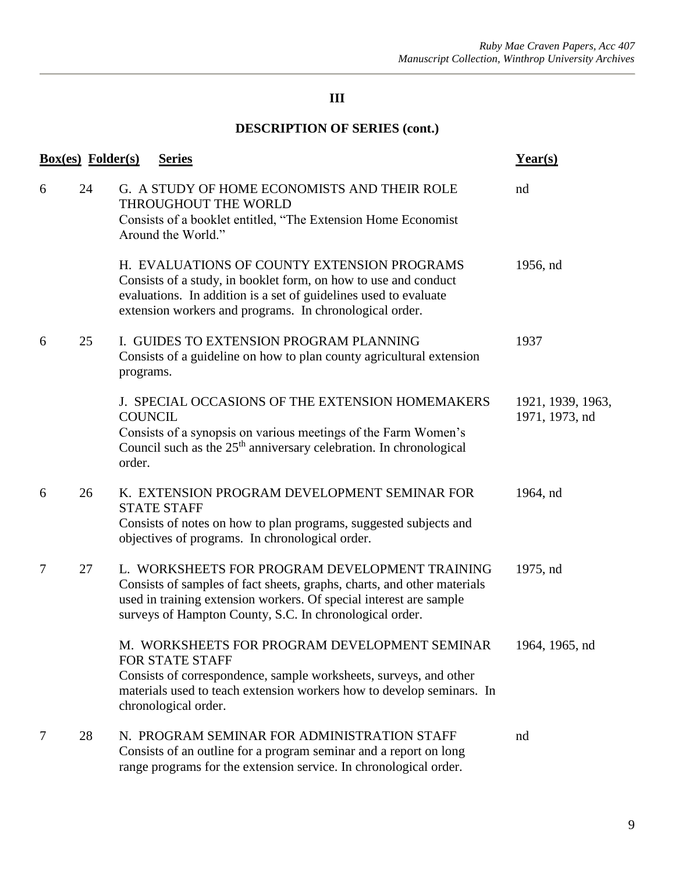|   | <b>Box(es)</b> Folder(s) | <b>Series</b>                                                                                                                                                                                                                                              | $Year(s)$                           |
|---|--------------------------|------------------------------------------------------------------------------------------------------------------------------------------------------------------------------------------------------------------------------------------------------------|-------------------------------------|
| 6 | 24                       | G. A STUDY OF HOME ECONOMISTS AND THEIR ROLE<br>THROUGHOUT THE WORLD<br>Consists of a booklet entitled, "The Extension Home Economist<br>Around the World."                                                                                                | nd                                  |
|   |                          | H. EVALUATIONS OF COUNTY EXTENSION PROGRAMS<br>Consists of a study, in booklet form, on how to use and conduct<br>evaluations. In addition is a set of guidelines used to evaluate<br>extension workers and programs. In chronological order.              | 1956, nd                            |
| 6 | 25                       | I. GUIDES TO EXTENSION PROGRAM PLANNING<br>Consists of a guideline on how to plan county agricultural extension<br>programs.                                                                                                                               | 1937                                |
|   |                          | J. SPECIAL OCCASIONS OF THE EXTENSION HOMEMAKERS<br><b>COUNCIL</b><br>Consists of a synopsis on various meetings of the Farm Women's<br>Council such as the $25th$ anniversary celebration. In chronological<br>order.                                     | 1921, 1939, 1963,<br>1971, 1973, nd |
| 6 | 26                       | K. EXTENSION PROGRAM DEVELOPMENT SEMINAR FOR<br><b>STATE STAFF</b><br>Consists of notes on how to plan programs, suggested subjects and<br>objectives of programs. In chronological order.                                                                 | 1964, nd                            |
| 7 | 27                       | L. WORKSHEETS FOR PROGRAM DEVELOPMENT TRAINING<br>Consists of samples of fact sheets, graphs, charts, and other materials<br>used in training extension workers. Of special interest are sample<br>surveys of Hampton County, S.C. In chronological order. | 1975, nd                            |
|   |                          | M. WORKSHEETS FOR PROGRAM DEVELOPMENT SEMINAR<br>FOR STATE STAFF<br>Consists of correspondence, sample worksheets, surveys, and other<br>materials used to teach extension workers how to develop seminars. In<br>chronological order.                     | 1964, 1965, nd                      |
| 7 | 28                       | N. PROGRAM SEMINAR FOR ADMINISTRATION STAFF<br>Consists of an outline for a program seminar and a report on long<br>range programs for the extension service. In chronological order.                                                                      | nd                                  |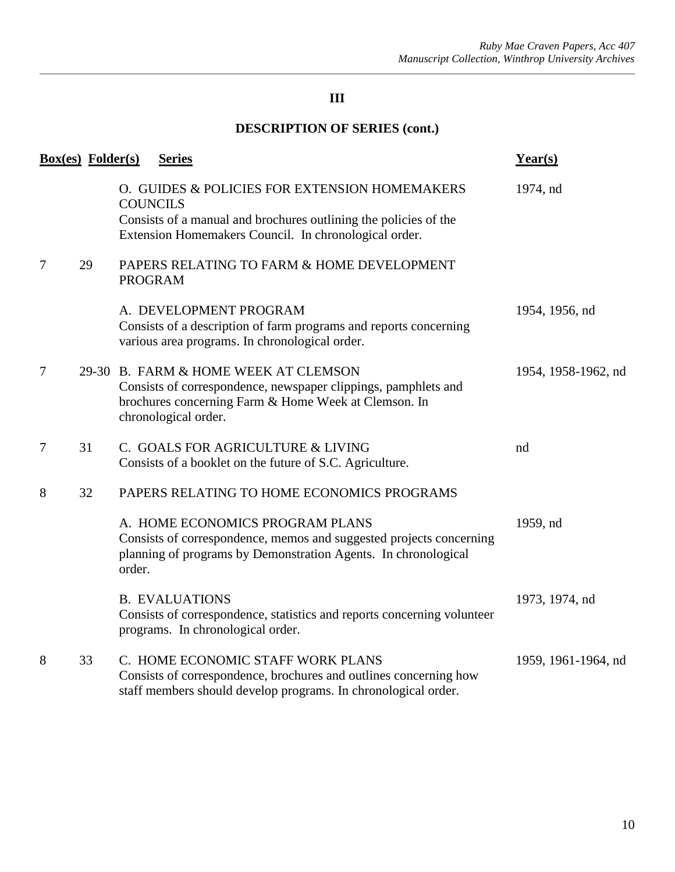| <b>Box(es)</b> Folder(s) |    |                 | <b>Series</b>                                                                                                                                                                          | $Year(s)$           |
|--------------------------|----|-----------------|----------------------------------------------------------------------------------------------------------------------------------------------------------------------------------------|---------------------|
|                          |    | <b>COUNCILS</b> | O. GUIDES & POLICIES FOR EXTENSION HOMEMAKERS<br>Consists of a manual and brochures outlining the policies of the<br>Extension Homemakers Council. In chronological order.             | 1974, nd            |
| 7                        | 29 | <b>PROGRAM</b>  | PAPERS RELATING TO FARM & HOME DEVELOPMENT                                                                                                                                             |                     |
|                          |    |                 | A. DEVELOPMENT PROGRAM<br>Consists of a description of farm programs and reports concerning<br>various area programs. In chronological order.                                          | 1954, 1956, nd      |
| $\overline{7}$           |    |                 | 29-30 B. FARM & HOME WEEK AT CLEMSON<br>Consists of correspondence, newspaper clippings, pamphlets and<br>brochures concerning Farm & Home Week at Clemson. In<br>chronological order. | 1954, 1958-1962, nd |
| 7                        | 31 |                 | C. GOALS FOR AGRICULTURE & LIVING<br>Consists of a booklet on the future of S.C. Agriculture.                                                                                          | nd                  |
| 8                        | 32 |                 | PAPERS RELATING TO HOME ECONOMICS PROGRAMS                                                                                                                                             |                     |
|                          |    | order.          | A. HOME ECONOMICS PROGRAM PLANS<br>Consists of correspondence, memos and suggested projects concerning<br>planning of programs by Demonstration Agents. In chronological               | 1959, nd            |
|                          |    |                 | <b>B. EVALUATIONS</b><br>Consists of correspondence, statistics and reports concerning volunteer<br>programs. In chronological order.                                                  | 1973, 1974, nd      |
| 8                        | 33 |                 | C. HOME ECONOMIC STAFF WORK PLANS<br>Consists of correspondence, brochures and outlines concerning how<br>staff members should develop programs. In chronological order.               | 1959, 1961-1964, nd |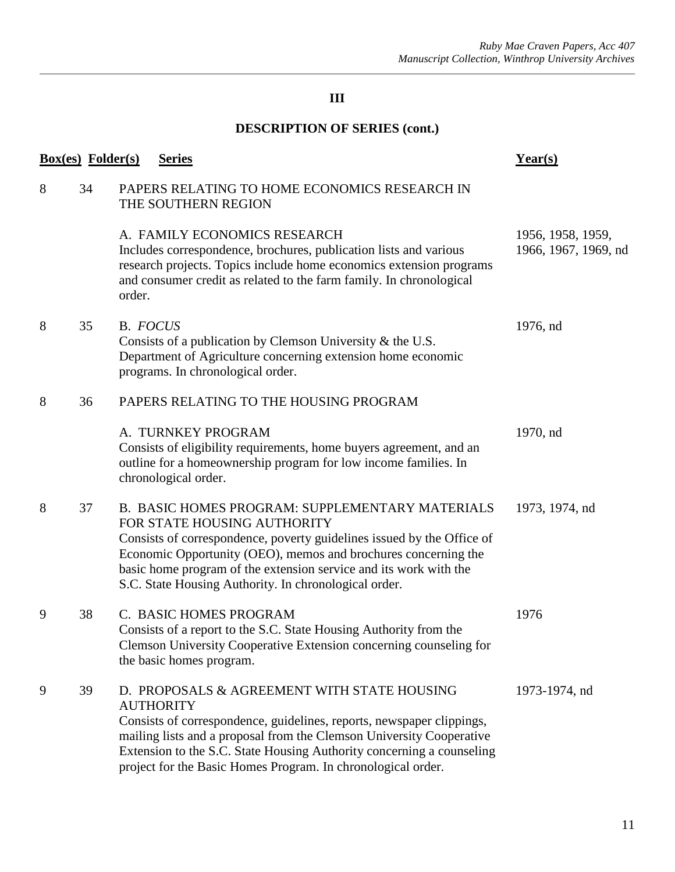|   | <b>Box(es)</b> Folder(s) | <b>Series</b>                                                                                                                                                                                                                                                                                                                                             | Year(s)                                   |
|---|--------------------------|-----------------------------------------------------------------------------------------------------------------------------------------------------------------------------------------------------------------------------------------------------------------------------------------------------------------------------------------------------------|-------------------------------------------|
| 8 | 34                       | PAPERS RELATING TO HOME ECONOMICS RESEARCH IN<br>THE SOUTHERN REGION                                                                                                                                                                                                                                                                                      |                                           |
|   |                          | A. FAMILY ECONOMICS RESEARCH<br>Includes correspondence, brochures, publication lists and various<br>research projects. Topics include home economics extension programs<br>and consumer credit as related to the farm family. In chronological<br>order.                                                                                                 | 1956, 1958, 1959,<br>1966, 1967, 1969, nd |
| 8 | 35                       | B. FOCUS<br>Consists of a publication by Clemson University $\&$ the U.S.<br>Department of Agriculture concerning extension home economic<br>programs. In chronological order.                                                                                                                                                                            | 1976, nd                                  |
| 8 | 36                       | PAPERS RELATING TO THE HOUSING PROGRAM                                                                                                                                                                                                                                                                                                                    |                                           |
|   |                          | A. TURNKEY PROGRAM<br>Consists of eligibility requirements, home buyers agreement, and an<br>outline for a homeownership program for low income families. In<br>chronological order.                                                                                                                                                                      | 1970, nd                                  |
| 8 | 37                       | B. BASIC HOMES PROGRAM: SUPPLEMENTARY MATERIALS<br>FOR STATE HOUSING AUTHORITY<br>Consists of correspondence, poverty guidelines issued by the Office of<br>Economic Opportunity (OEO), memos and brochures concerning the<br>basic home program of the extension service and its work with the<br>S.C. State Housing Authority. In chronological order.  | 1973, 1974, nd                            |
| 9 | 38                       | C. BASIC HOMES PROGRAM<br>Consists of a report to the S.C. State Housing Authority from the<br>Clemson University Cooperative Extension concerning counseling for<br>the basic homes program.                                                                                                                                                             | 1976                                      |
| 9 | 39                       | D. PROPOSALS & AGREEMENT WITH STATE HOUSING<br><b>AUTHORITY</b><br>Consists of correspondence, guidelines, reports, newspaper clippings,<br>mailing lists and a proposal from the Clemson University Cooperative<br>Extension to the S.C. State Housing Authority concerning a counseling<br>project for the Basic Homes Program. In chronological order. | 1973-1974, nd                             |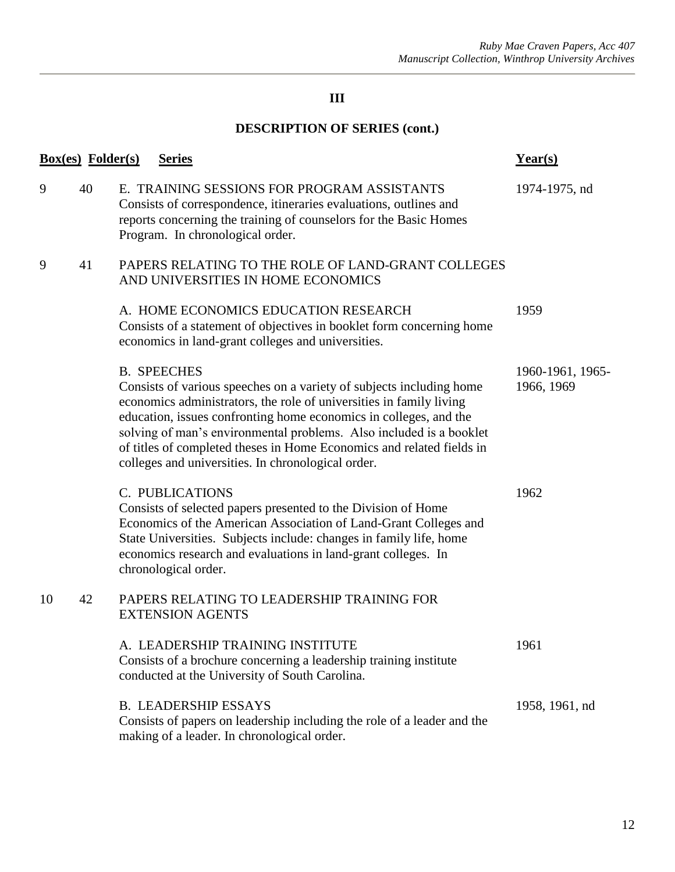|    | <b>Box(es)</b> Folder(s) | <b>Series</b>                                                                                                                                                                                                                                                                                                                                                                                                                                | Year(s)                        |
|----|--------------------------|----------------------------------------------------------------------------------------------------------------------------------------------------------------------------------------------------------------------------------------------------------------------------------------------------------------------------------------------------------------------------------------------------------------------------------------------|--------------------------------|
| 9  | 40                       | E. TRAINING SESSIONS FOR PROGRAM ASSISTANTS<br>Consists of correspondence, itineraries evaluations, outlines and<br>reports concerning the training of counselors for the Basic Homes<br>Program. In chronological order.                                                                                                                                                                                                                    | 1974-1975, nd                  |
| 9  | 41                       | PAPERS RELATING TO THE ROLE OF LAND-GRANT COLLEGES<br>AND UNIVERSITIES IN HOME ECONOMICS                                                                                                                                                                                                                                                                                                                                                     |                                |
|    |                          | A. HOME ECONOMICS EDUCATION RESEARCH<br>Consists of a statement of objectives in booklet form concerning home<br>economics in land-grant colleges and universities.                                                                                                                                                                                                                                                                          | 1959                           |
|    |                          | <b>B.</b> SPEECHES<br>Consists of various speeches on a variety of subjects including home<br>economics administrators, the role of universities in family living<br>education, issues confronting home economics in colleges, and the<br>solving of man's environmental problems. Also included is a booklet<br>of titles of completed theses in Home Economics and related fields in<br>colleges and universities. In chronological order. | 1960-1961, 1965-<br>1966, 1969 |
|    |                          | C. PUBLICATIONS<br>Consists of selected papers presented to the Division of Home<br>Economics of the American Association of Land-Grant Colleges and<br>State Universities. Subjects include: changes in family life, home<br>economics research and evaluations in land-grant colleges. In<br>chronological order.                                                                                                                          | 1962                           |
| 10 | 42                       | PAPERS RELATING TO LEADERSHIP TRAINING FOR<br><b>EXTENSION AGENTS</b>                                                                                                                                                                                                                                                                                                                                                                        |                                |
|    |                          | A. LEADERSHIP TRAINING INSTITUTE<br>Consists of a brochure concerning a leadership training institute<br>conducted at the University of South Carolina.                                                                                                                                                                                                                                                                                      | 1961                           |
|    |                          | <b>B. LEADERSHIP ESSAYS</b><br>Consists of papers on leadership including the role of a leader and the<br>making of a leader. In chronological order.                                                                                                                                                                                                                                                                                        | 1958, 1961, nd                 |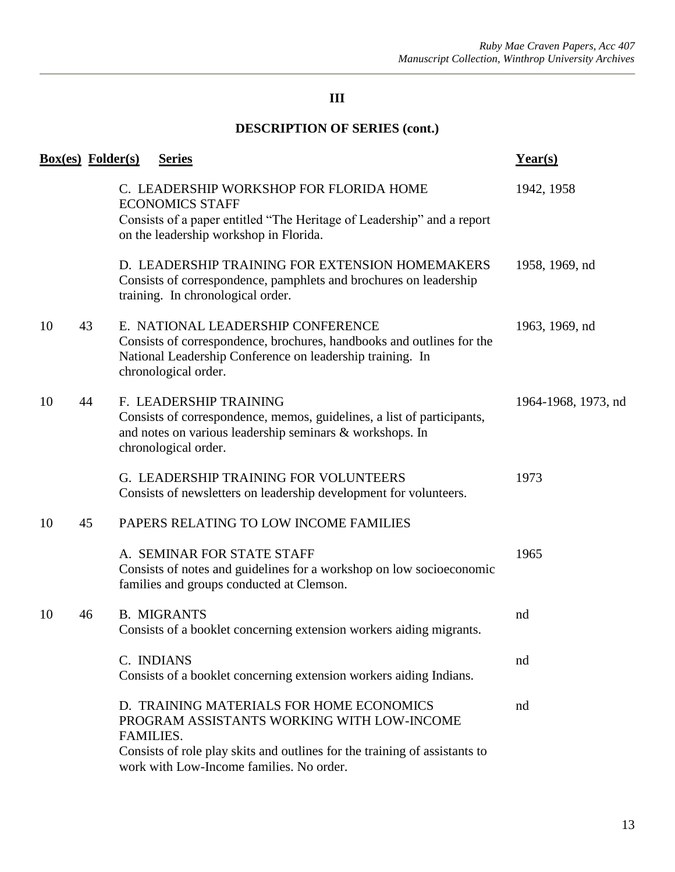|    | <b>Box(es)</b> Folder(s) |            | <b>Series</b>                                                                                                                                                                                                    | $Year(s)$           |
|----|--------------------------|------------|------------------------------------------------------------------------------------------------------------------------------------------------------------------------------------------------------------------|---------------------|
|    |                          |            | C. LEADERSHIP WORKSHOP FOR FLORIDA HOME<br><b>ECONOMICS STAFF</b><br>Consists of a paper entitled "The Heritage of Leadership" and a report<br>on the leadership workshop in Florida.                            | 1942, 1958          |
|    |                          |            | D. LEADERSHIP TRAINING FOR EXTENSION HOMEMAKERS<br>Consists of correspondence, pamphlets and brochures on leadership<br>training. In chronological order.                                                        | 1958, 1969, nd      |
| 10 | 43                       |            | E. NATIONAL LEADERSHIP CONFERENCE<br>Consists of correspondence, brochures, handbooks and outlines for the<br>National Leadership Conference on leadership training. In<br>chronological order.                  | 1963, 1969, nd      |
| 10 | 44                       |            | F. LEADERSHIP TRAINING<br>Consists of correspondence, memos, guidelines, a list of participants,<br>and notes on various leadership seminars & workshops. In<br>chronological order.                             | 1964-1968, 1973, nd |
|    |                          |            | G. LEADERSHIP TRAINING FOR VOLUNTEERS<br>Consists of newsletters on leadership development for volunteers.                                                                                                       | 1973                |
| 10 | 45                       |            | PAPERS RELATING TO LOW INCOME FAMILIES                                                                                                                                                                           |                     |
|    |                          |            | A. SEMINAR FOR STATE STAFF<br>Consists of notes and guidelines for a workshop on low socioeconomic<br>families and groups conducted at Clemson.                                                                  | 1965                |
| 10 | 46                       |            | <b>B. MIGRANTS</b><br>Consists of a booklet concerning extension workers aiding migrants.                                                                                                                        | nd                  |
|    |                          | C. INDIANS | Consists of a booklet concerning extension workers aiding Indians.                                                                                                                                               | nd                  |
|    |                          | FAMILIES.  | D. TRAINING MATERIALS FOR HOME ECONOMICS<br>PROGRAM ASSISTANTS WORKING WITH LOW-INCOME<br>Consists of role play skits and outlines for the training of assistants to<br>work with Low-Income families. No order. | nd                  |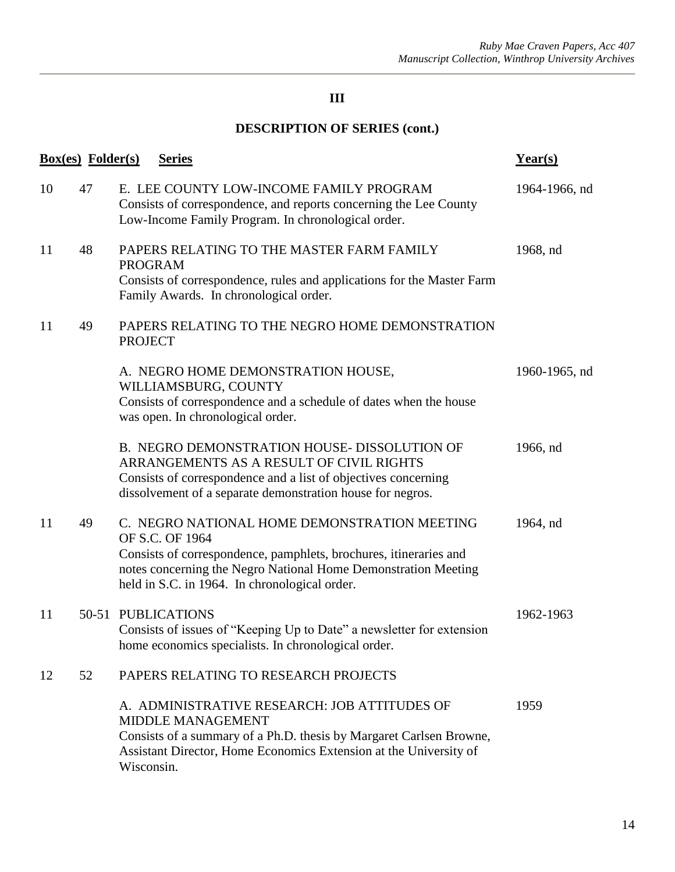|    | <b>Box(es)</b> Folder(s) | <b>Series</b>                                                                                                                                                                                                                                           | Year(s)       |
|----|--------------------------|---------------------------------------------------------------------------------------------------------------------------------------------------------------------------------------------------------------------------------------------------------|---------------|
| 10 | 47                       | E. LEE COUNTY LOW-INCOME FAMILY PROGRAM<br>Consists of correspondence, and reports concerning the Lee County<br>Low-Income Family Program. In chronological order.                                                                                      | 1964-1966, nd |
| 11 | 48                       | PAPERS RELATING TO THE MASTER FARM FAMILY<br><b>PROGRAM</b><br>Consists of correspondence, rules and applications for the Master Farm<br>Family Awards. In chronological order.                                                                         | 1968, nd      |
| 11 | 49                       | PAPERS RELATING TO THE NEGRO HOME DEMONSTRATION<br><b>PROJECT</b>                                                                                                                                                                                       |               |
|    |                          | A. NEGRO HOME DEMONSTRATION HOUSE,<br>WILLIAMSBURG, COUNTY<br>Consists of correspondence and a schedule of dates when the house<br>was open. In chronological order.                                                                                    | 1960-1965, nd |
|    |                          | B. NEGRO DEMONSTRATION HOUSE- DISSOLUTION OF<br>ARRANGEMENTS AS A RESULT OF CIVIL RIGHTS<br>Consists of correspondence and a list of objectives concerning<br>dissolvement of a separate demonstration house for negros.                                | 1966, nd      |
| 11 | 49                       | C. NEGRO NATIONAL HOME DEMONSTRATION MEETING<br>OF S.C. OF 1964<br>Consists of correspondence, pamphlets, brochures, itineraries and<br>notes concerning the Negro National Home Demonstration Meeting<br>held in S.C. in 1964. In chronological order. | 1964, nd      |
| 11 |                          | 50-51 PUBLICATIONS<br>Consists of issues of "Keeping Up to Date" a newsletter for extension<br>home economics specialists. In chronological order.                                                                                                      | 1962-1963     |
| 12 | 52                       | PAPERS RELATING TO RESEARCH PROJECTS                                                                                                                                                                                                                    |               |
|    |                          | A. ADMINISTRATIVE RESEARCH: JOB ATTITUDES OF<br><b>MIDDLE MANAGEMENT</b><br>Consists of a summary of a Ph.D. thesis by Margaret Carlsen Browne,<br>Assistant Director, Home Economics Extension at the University of<br>Wisconsin.                      | 1959          |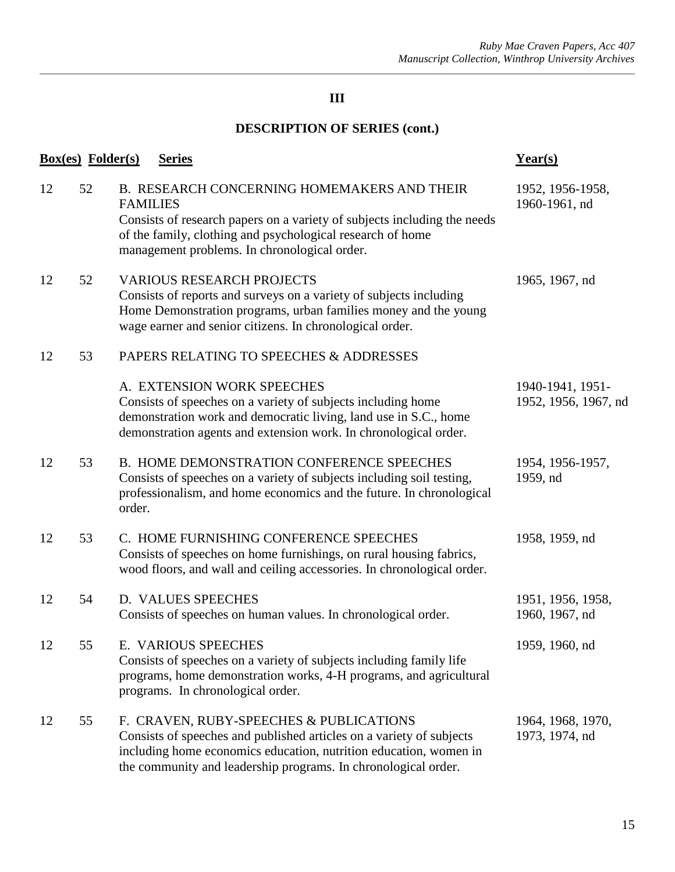|    | <b>Box(es)</b> Folder(s) | <b>Series</b>                                                                                                                                                                                                                                            | $Year(s)$                                |
|----|--------------------------|----------------------------------------------------------------------------------------------------------------------------------------------------------------------------------------------------------------------------------------------------------|------------------------------------------|
| 12 | 52                       | B. RESEARCH CONCERNING HOMEMAKERS AND THEIR<br><b>FAMILIES</b><br>Consists of research papers on a variety of subjects including the needs<br>of the family, clothing and psychological research of home<br>management problems. In chronological order. | 1952, 1956-1958,<br>1960-1961, nd        |
| 12 | 52                       | <b>VARIOUS RESEARCH PROJECTS</b><br>Consists of reports and surveys on a variety of subjects including<br>Home Demonstration programs, urban families money and the young<br>wage earner and senior citizens. In chronological order.                    | 1965, 1967, nd                           |
| 12 | 53                       | PAPERS RELATING TO SPEECHES & ADDRESSES                                                                                                                                                                                                                  |                                          |
|    |                          | A. EXTENSION WORK SPEECHES<br>Consists of speeches on a variety of subjects including home<br>demonstration work and democratic living, land use in S.C., home<br>demonstration agents and extension work. In chronological order.                       | 1940-1941, 1951-<br>1952, 1956, 1967, nd |
| 12 | 53                       | B. HOME DEMONSTRATION CONFERENCE SPEECHES<br>Consists of speeches on a variety of subjects including soil testing,<br>professionalism, and home economics and the future. In chronological<br>order.                                                     | 1954, 1956-1957,<br>1959, nd             |
| 12 | 53                       | C. HOME FURNISHING CONFERENCE SPEECHES<br>Consists of speeches on home furnishings, on rural housing fabrics,<br>wood floors, and wall and ceiling accessories. In chronological order.                                                                  | 1958, 1959, nd                           |
| 12 | 54                       | <b>D. VALUES SPEECHES</b><br>Consists of speeches on human values. In chronological order.                                                                                                                                                               | 1951, 1956, 1958,<br>1960, 1967, nd      |
| 12 | 55                       | E. VARIOUS SPEECHES<br>Consists of speeches on a variety of subjects including family life<br>programs, home demonstration works, 4-H programs, and agricultural<br>programs. In chronological order.                                                    | 1959, 1960, nd                           |
| 12 | 55                       | F. CRAVEN, RUBY-SPEECHES & PUBLICATIONS<br>Consists of speeches and published articles on a variety of subjects<br>including home economics education, nutrition education, women in<br>the community and leadership programs. In chronological order.   | 1964, 1968, 1970,<br>1973, 1974, nd      |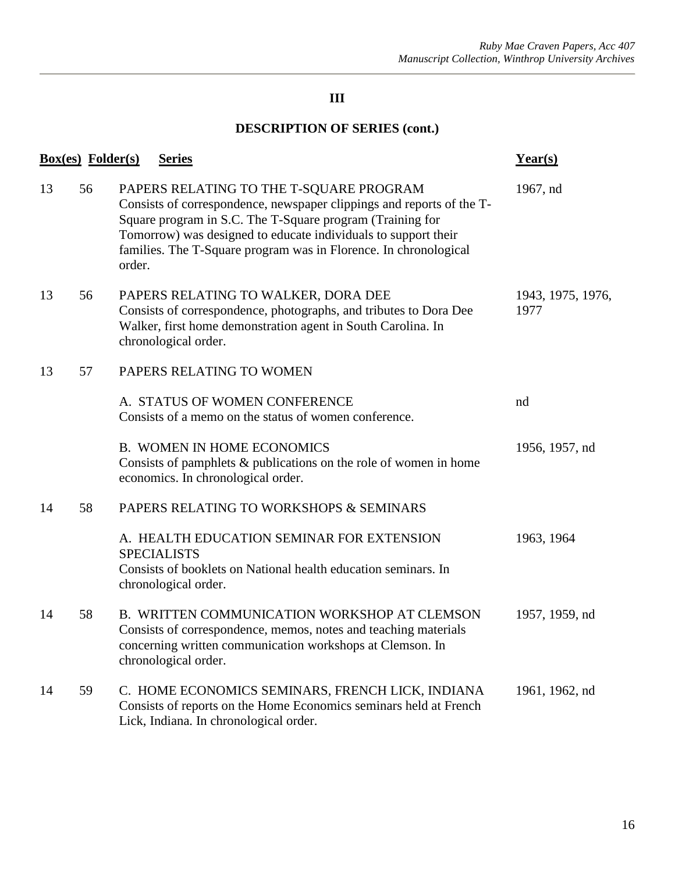|    | <b>Box(es)</b> Folder(s) | <b>Series</b>                                                                                                                                                                                                                                                                                                                 | $Year(s)$                 |
|----|--------------------------|-------------------------------------------------------------------------------------------------------------------------------------------------------------------------------------------------------------------------------------------------------------------------------------------------------------------------------|---------------------------|
| 13 | 56                       | PAPERS RELATING TO THE T-SQUARE PROGRAM<br>Consists of correspondence, newspaper clippings and reports of the T-<br>Square program in S.C. The T-Square program (Training for<br>Tomorrow) was designed to educate individuals to support their<br>families. The T-Square program was in Florence. In chronological<br>order. | 1967, nd                  |
| 13 | 56                       | PAPERS RELATING TO WALKER, DORA DEE<br>Consists of correspondence, photographs, and tributes to Dora Dee<br>Walker, first home demonstration agent in South Carolina. In<br>chronological order.                                                                                                                              | 1943, 1975, 1976,<br>1977 |
| 13 | 57                       | PAPERS RELATING TO WOMEN                                                                                                                                                                                                                                                                                                      |                           |
|    |                          | A. STATUS OF WOMEN CONFERENCE<br>Consists of a memo on the status of women conference.                                                                                                                                                                                                                                        | nd                        |
|    |                          | <b>B. WOMEN IN HOME ECONOMICS</b><br>Consists of pamphlets & publications on the role of women in home<br>economics. In chronological order.                                                                                                                                                                                  | 1956, 1957, nd            |
| 14 | 58                       | PAPERS RELATING TO WORKSHOPS & SEMINARS                                                                                                                                                                                                                                                                                       |                           |
|    |                          | A. HEALTH EDUCATION SEMINAR FOR EXTENSION<br><b>SPECIALISTS</b><br>Consists of booklets on National health education seminars. In<br>chronological order.                                                                                                                                                                     | 1963, 1964                |
| 14 | 58                       | B. WRITTEN COMMUNICATION WORKSHOP AT CLEMSON<br>Consists of correspondence, memos, notes and teaching materials<br>concerning written communication workshops at Clemson. In<br>chronological order.                                                                                                                          | 1957, 1959, nd            |
| 14 | 59                       | C. HOME ECONOMICS SEMINARS, FRENCH LICK, INDIANA<br>Consists of reports on the Home Economics seminars held at French<br>Lick, Indiana. In chronological order.                                                                                                                                                               | 1961, 1962, nd            |